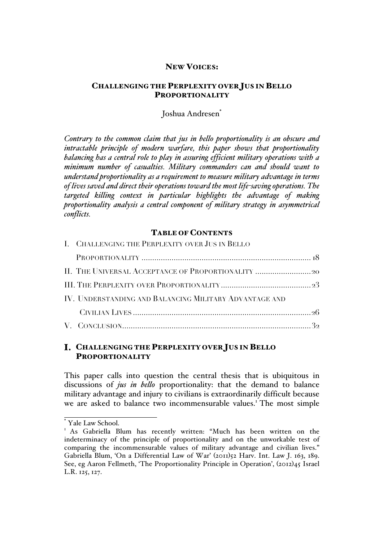## NEW VOICES:

# CHALLENGING THE PERPLEXITY OVER JUS IN BELLO PROPORTIONALITY

## Joshua Andresen<sup>\*</sup>

*Contrary to the common claim that jus in bello proportionality is an obscure and intractable principle of modern warfare, this paper shows that proportionality balancing has a central role to play in assuring efficient military operations with a minimum number of casualties. Military commanders can and should want to understand proportionality as a requirement to measure military advantage in terms of lives saved and direct their operations toward the most life-saving operations. The targeted killing context in particular highlights the advantage of making proportionality analysis a central component of military strategy in asymmetrical conflicts.*

#### TABLE OF CONTENTS

| I. CHALLENGING THE PERPLEXITY OVER JUS IN BELLO        |  |
|--------------------------------------------------------|--|
|                                                        |  |
|                                                        |  |
|                                                        |  |
| IV. UNDERSTANDING AND BALANCING MILITARY ADVANTAGE AND |  |
|                                                        |  |
|                                                        |  |

# CHALLENGING THE PERPLEXITY OVER JUS IN BELLO PROPORTIONALITY

This paper calls into question the central thesis that is ubiquitous in discussions of *jus in bello* proportionality: that the demand to balance military advantage and injury to civilians is extraordinarily difficult because we are asked to balance two incommensurable values.<sup>1</sup> The most simple

Yale Law School.

<sup>&</sup>lt;sup>1</sup> As Gabriella Blum has recently written: "Much has been written on the indeterminacy of the principle of proportionality and on the unworkable test of comparing the incommensurable values of military advantage and civilian lives." Gabriella Blum, 'On a Differential Law of War' (2011)52 Harv. Int. Law J. 163, 189. See, eg Aaron Fellmeth, 'The Proportionality Principle in Operation', (2012)45 Israel L.R. 125, 127.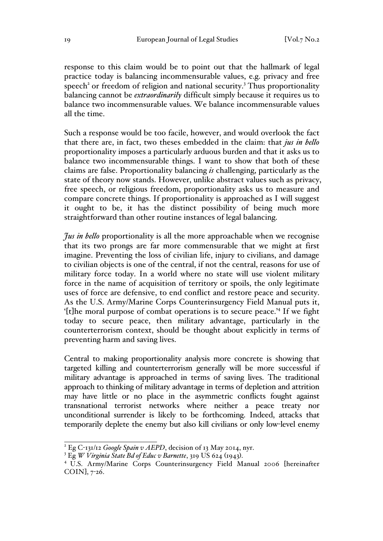response to this claim would be to point out that the hallmark of legal practice today is balancing incommensurable values, e.g. privacy and free speech<sup>2</sup> or freedom of religion and national security.<sup>3</sup> Thus proportionality balancing cannot be *extraordinarily* difficult simply because it requires us to balance two incommensurable values. We balance incommensurable values all the time.

Such a response would be too facile, however, and would overlook the fact that there are, in fact, two theses embedded in the claim: that *jus in bello* proportionality imposes a particularly arduous burden and that it asks us to balance two incommensurable things. I want to show that both of these claims are false. Proportionality balancing *is* challenging, particularly as the state of theory now stands. However, unlike abstract values such as privacy, free speech, or religious freedom, proportionality asks us to measure and compare concrete things. If proportionality is approached as I will suggest it ought to be, it has the distinct possibility of being much more straightforward than other routine instances of legal balancing.

*Jus in bello* proportionality is all the more approachable when we recognise that its two prongs are far more commensurable that we might at first imagine. Preventing the loss of civilian life, injury to civilians, and damage to civilian objects is one of the central, if not the central, reasons for use of military force today. In a world where no state will use violent military force in the name of acquisition of territory or spoils, the only legitimate uses of force are defensive, to end conflict and restore peace and security. As the U.S. Army/Marine Corps Counterinsurgency Field Manual puts it, '[t]he moral purpose of combat operations is to secure peace.'4 If we fight today to secure peace, then military advantage, particularly in the counterterrorism context, should be thought about explicitly in terms of preventing harm and saving lives.

Central to making proportionality analysis more concrete is showing that targeted killing and counterterrorism generally will be more successful if military advantage is approached in terms of saving lives. The traditional approach to thinking of military advantage in terms of depletion and attrition may have little or no place in the asymmetric conflicts fought against transnational terrorist networks where neither a peace treaty nor unconditional surrender is likely to be forthcoming. Indeed, attacks that temporarily deplete the enemy but also kill civilians or only low-level enemy

<sup>2</sup> Eg C-131/12 *Google Spain v AEPD*, decision of 13 May 2014, nyr.

<sup>3</sup> Eg *W Virginia State Bd of Educ v Barnette*, 319 US 624 (1943). <sup>4</sup> U.S. Army/Marine Corps Counterinsurgency Field Manual 2006 [hereinafter COIN], 7-26.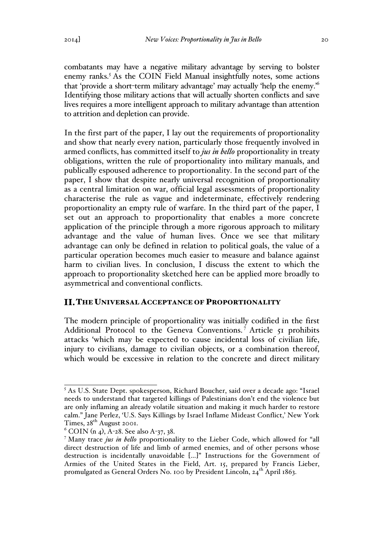combatants may have a negative military advantage by serving to bolster enemy ranks.<sup>5</sup> As the COIN Field Manual insightfully notes, some actions that 'provide a short-term military advantage' may actually 'help the enemy.'6 Identifying those military actions that will actually shorten conflicts and save lives requires a more intelligent approach to military advantage than attention to attrition and depletion can provide.

In the first part of the paper, I lay out the requirements of proportionality and show that nearly every nation, particularly those frequently involved in armed conflicts, has committed itself to *jus in bello* proportionality in treaty obligations, written the rule of proportionality into military manuals, and publically espoused adherence to proportionality. In the second part of the paper, I show that despite nearly universal recognition of proportionality as a central limitation on war, official legal assessments of proportionality characterise the rule as vague and indeterminate, effectively rendering proportionality an empty rule of warfare. In the third part of the paper, I set out an approach to proportionality that enables a more concrete application of the principle through a more rigorous approach to military advantage and the value of human lives. Once we see that military advantage can only be defined in relation to political goals, the value of a particular operation becomes much easier to measure and balance against harm to civilian lives. In conclusion, I discuss the extent to which the approach to proportionality sketched here can be applied more broadly to asymmetrical and conventional conflicts.

#### THE UNIVERSAL ACCEPTANCE OF PROPORTIONALITY

The modern principle of proportionality was initially codified in the first Additional Protocol to the Geneva Conventions.<sup>7</sup> Article 51 prohibits attacks 'which may be expected to cause incidental loss of civilian life, injury to civilians, damage to civilian objects, or a combination thereof, which would be excessive in relation to the concrete and direct military

<sup>5</sup> As U.S. State Dept. spokesperson, Richard Boucher, said over a decade ago: "Israel needs to understand that targeted killings of Palestinians don't end the violence but are only inflaming an already volatile situation and making it much harder to restore calm." Jane Perlez, 'U.S. Says Killings by Israel Inflame Mideast Conflict,' New York Times, 28<sup>th</sup> August 2001.

 $6$  COIN (n 4), A-28. See also A-37, 38.

<sup>7</sup> Many trace *jus in bello* proportionality to the Lieber Code, which allowed for "all direct destruction of life and limb of armed enemies, and of other persons whose destruction is incidentally unavoidable […]" Instructions for the Government of Armies of the United States in the Field, Art. 15, prepared by Francis Lieber, promulgated as General Orders No. 100 by President Lincoln, 24<sup>th</sup> April 1863.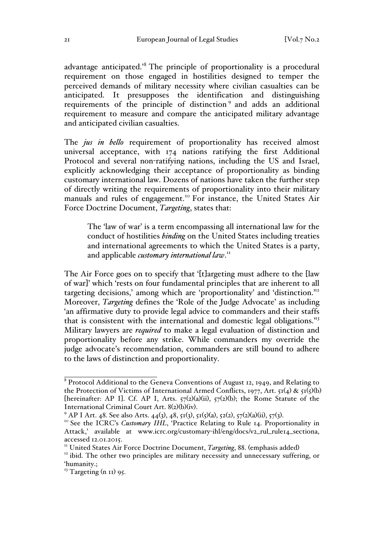advantage anticipated.'<sup>8</sup> The principle of proportionality is a procedural requirement on those engaged in hostilities designed to temper the perceived demands of military necessity where civilian casualties can be anticipated. It presupposes the identification and distinguishing requirements of the principle of distinction <sup>9</sup> and adds an additional requirement to measure and compare the anticipated military advantage and anticipated civilian casualties.

The *jus in bello* requirement of proportionality has received almost universal acceptance, with 174 nations ratifying the first Additional Protocol and several non-ratifying nations, including the US and Israel, explicitly acknowledging their acceptance of proportionality as binding customary international law. Dozens of nations have taken the further step of directly writing the requirements of proportionality into their military manuals and rules of engagement.<sup>10</sup> For instance, the United States Air Force Doctrine Document, *Targeting*, states that:

The 'law of war' is a term encompassing all international law for the conduct of hostilities *binding* on the United States including treaties and international agreements to which the United States is a party, and applicable *customary international law*. 11

The Air Force goes on to specify that '[t]argeting must adhere to the [law of war]' which 'rests on four fundamental principles that are inherent to all targeting decisions,' among which are 'proportionality' and 'distinction.'12 Moreover, *Targeting* defines the 'Role of the Judge Advocate' as including 'an affirmative duty to provide legal advice to commanders and their staffs that is consistent with the international and domestic legal obligations.'13 Military lawyers are *required* to make a legal evaluation of distinction and proportionality before any strike. While commanders my override the judge advocate's recommendation, commanders are still bound to adhere to the laws of distinction and proportionality.

<sup>8</sup> Protocol Additional to the Geneva Conventions of August 12, 1949, and Relating to the Protection of Victims of International Armed Conflicts, 1977, Art.  $5I(4)$  &  $5I(5)(b)$ [hereinafter: AP I]. Cf. AP I, Arts.  $57(2)(a)(ii)$ ,  $57(2)(b)$ ; the Rome Statute of the International Criminal Court Art. 8(2)(b)(iv).<br><sup>9</sup> AP I Art. 48. See also Arts. 44(3), 48, 51(3), 51(5)(a), 52(2), 57(2)(a)(ii), 57(3).<br><sup>10</sup> See the ICRC's *Customary IHL*, 'Practice Relating to Rule 14. Proportionality in

Attack,' available at www.icrc.org/customary-ihl/eng/docs/v2\_rul\_rule14\_sectiona, accessed 12.01.2015.

<sup>&</sup>lt;sup>11</sup> United States Air Force Doctrine Document, *Targeting*, 88. (emphasis added)<br><sup>12</sup> ibid. The other two principles are military necessity and unnecessary suffering, or 'humanity.;

 $13$  Targeting (n II) 95.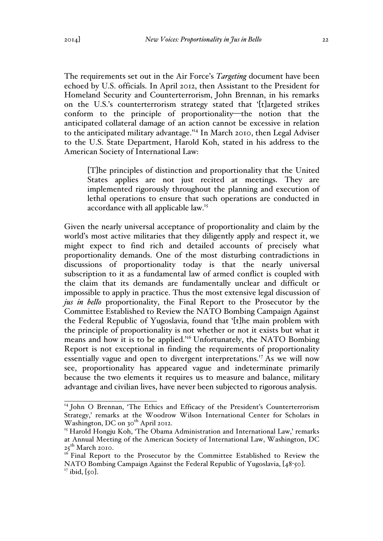The requirements set out in the Air Force's *Targeting* document have been echoed by U.S. officials. In April 2012, then Assistant to the President for Homeland Security and Counterterrorism, John Brennan, in his remarks on the U.S.'s counterterrorism strategy stated that '[t]argeted strikes conform to the principle of proportionality—the notion that the anticipated collateral damage of an action cannot be excessive in relation to the anticipated military advantage.<sup>14</sup> In March 2010, then Legal Adviser to the U.S. State Department, Harold Koh, stated in his address to the American Society of International Law:

[T]he principles of distinction and proportionality that the United States applies are not just recited at meetings. They are implemented rigorously throughout the planning and execution of lethal operations to ensure that such operations are conducted in accordance with all applicable law.15

Given the nearly universal acceptance of proportionality and claim by the world's most active militaries that they diligently apply and respect it, we might expect to find rich and detailed accounts of precisely what proportionality demands. One of the most disturbing contradictions in discussions of proportionality today is that the nearly universal subscription to it as a fundamental law of armed conflict is coupled with the claim that its demands are fundamentally unclear and difficult or impossible to apply in practice. Thus the most extensive legal discussion of *jus in bello* proportionality, the Final Report to the Prosecutor by the Committee Established to Review the NATO Bombing Campaign Against the Federal Republic of Yugoslavia, found that '[t]he main problem with the principle of proportionality is not whether or not it exists but what it means and how it is to be applied.<sup>16</sup> Unfortunately, the NATO Bombing Report is not exceptional in finding the requirements of proportionality essentially vague and open to divergent interpretations.<sup>17</sup> As we will now see, proportionality has appeared vague and indeterminate primarily because the two elements it requires us to measure and balance, military advantage and civilian lives, have never been subjected to rigorous analysis.

<sup>&</sup>lt;sup>14</sup> John O Brennan, 'The Ethics and Efficacy of the President's Counterterrorism Strategy,' remarks at the Woodrow Wilson International Center for Scholars in Washington, DC on  $30^{th}$  April 2012.

<sup>&</sup>lt;sup>15</sup> Harold Hongju Koh, 'The Obama Administration and International Law,' remarks at Annual Meeting of the American Society of International Law, Washington, DC  $25^{\text{th}}$  March 2010.

<sup>&</sup>lt;sup>16</sup> Final Report to the Prosecutor by the Committee Established to Review the NATO Bombing Campaign Against the Federal Republic of Yugoslavia, [48-50]. <sup>17</sup> ibid, [50].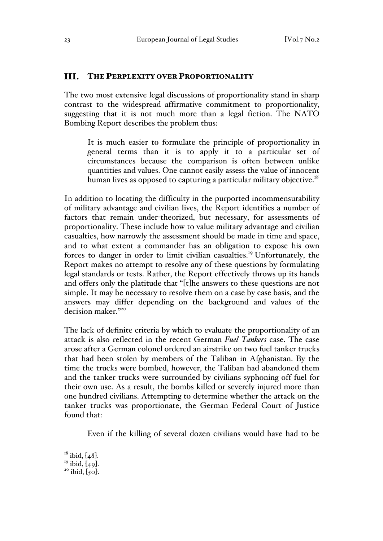#### III. THE PERPLEXITY OVER PROPORTIONALITY

The two most extensive legal discussions of proportionality stand in sharp contrast to the widespread affirmative commitment to proportionality, suggesting that it is not much more than a legal fiction. The NATO Bombing Report describes the problem thus:

It is much easier to formulate the principle of proportionality in general terms than it is to apply it to a particular set of circumstances because the comparison is often between unlike quantities and values. One cannot easily assess the value of innocent human lives as opposed to capturing a particular military objective.<sup>18</sup>

In addition to locating the difficulty in the purported incommensurability of military advantage and civilian lives, the Report identifies a number of factors that remain under-theorized, but necessary, for assessments of proportionality. These include how to value military advantage and civilian casualties, how narrowly the assessment should be made in time and space, and to what extent a commander has an obligation to expose his own forces to danger in order to limit civilian casualties.<sup>19</sup> Unfortunately, the Report makes no attempt to resolve any of these questions by formulating legal standards or tests. Rather, the Report effectively throws up its hands and offers only the platitude that "[t]he answers to these questions are not simple. It may be necessary to resolve them on a case by case basis, and the answers may differ depending on the background and values of the decision maker."20

The lack of definite criteria by which to evaluate the proportionality of an attack is also reflected in the recent German *Fuel Tankers* case. The case arose after a German colonel ordered an airstrike on two fuel tanker trucks that had been stolen by members of the Taliban in Afghanistan. By the time the trucks were bombed, however, the Taliban had abandoned them and the tanker trucks were surrounded by civilians syphoning off fuel for their own use. As a result, the bombs killed or severely injured more than one hundred civilians. Attempting to determine whether the attack on the tanker trucks was proportionate, the German Federal Court of Justice found that:

Even if the killing of several dozen civilians would have had to be

<sup>&</sup>lt;sup>18</sup> ibid,  $[48]$ .<br><sup>19</sup> ibid,  $[49]$ .<br><sup>20</sup> ibid,  $[50]$ .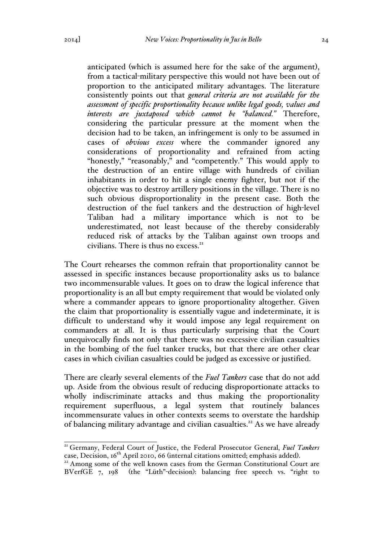anticipated (which is assumed here for the sake of the argument), from a tactical-military perspective this would not have been out of proportion to the anticipated military advantages. The literature consistently points out that *general criteria are not available for the assessment of specific proportionality because unlike legal goods, values and interests are juxtaposed which cannot be "balanced."* Therefore, considering the particular pressure at the moment when the decision had to be taken, an infringement is only to be assumed in cases of *obvious excess* where the commander ignored any considerations of proportionality and refrained from acting "honestly," "reasonably," and "competently." This would apply to the destruction of an entire village with hundreds of civilian inhabitants in order to hit a single enemy fighter, but not if the objective was to destroy artillery positions in the village. There is no such obvious disproportionality in the present case. Both the destruction of the fuel tankers and the destruction of high-level Taliban had a military importance which is not to be underestimated, not least because of the thereby considerably reduced risk of attacks by the Taliban against own troops and civilians. There is thus no excess. $2I$ 

The Court rehearses the common refrain that proportionality cannot be assessed in specific instances because proportionality asks us to balance two incommensurable values. It goes on to draw the logical inference that proportionality is an all but empty requirement that would be violated only where a commander appears to ignore proportionality altogether. Given the claim that proportionality is essentially vague and indeterminate, it is difficult to understand why it would impose any legal requirement on commanders at all. It is thus particularly surprising that the Court unequivocally finds not only that there was no excessive civilian casualties in the bombing of the fuel tanker trucks, but that there are other clear cases in which civilian casualties could be judged as excessive or justified.

There are clearly several elements of the *Fuel Tankers* case that do not add up. Aside from the obvious result of reducing disproportionate attacks to wholly indiscriminate attacks and thus making the proportionality requirement superfluous, a legal system that routinely balances incommensurate values in other contexts seems to overstate the hardship of balancing military advantage and civilian casualties.<sup>22</sup> As we have already

<sup>&</sup>lt;sup>21</sup> Germany, Federal Court of Justice, the Federal Prosecutor General, *Fuel Tankers* case, Decision, 16<sup>th</sup> April 2010, 66 (internal citations omitted; emphasis added).<br><sup>22</sup> Among some of the well known cases from the German Constitutional Court are

BVerfGE 7, 198 (the "Lüth"-decision): balancing free speech vs. "right to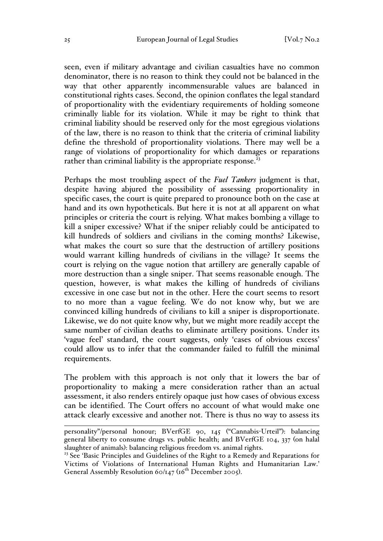seen, even if military advantage and civilian casualties have no common denominator, there is no reason to think they could not be balanced in the way that other apparently incommensurable values are balanced in constitutional rights cases. Second, the opinion conflates the legal standard of proportionality with the evidentiary requirements of holding someone criminally liable for its violation. While it may be right to think that criminal liability should be reserved only for the most egregious violations of the law, there is no reason to think that the criteria of criminal liability define the threshold of proportionality violations. There may well be a range of violations of proportionality for which damages or reparations rather than criminal liability is the appropriate response.<sup>23</sup>

Perhaps the most troubling aspect of the *Fuel Tankers* judgment is that, despite having abjured the possibility of assessing proportionality in specific cases, the court is quite prepared to pronounce both on the case at hand and its own hypotheticals. But here it is not at all apparent on what principles or criteria the court is relying. What makes bombing a village to kill a sniper excessive? What if the sniper reliably could be anticipated to kill hundreds of soldiers and civilians in the coming months? Likewise, what makes the court so sure that the destruction of artillery positions would warrant killing hundreds of civilians in the village? It seems the court is relying on the vague notion that artillery are generally capable of more destruction than a single sniper. That seems reasonable enough. The question, however, is what makes the killing of hundreds of civilians excessive in one case but not in the other. Here the court seems to resort to no more than a vague feeling. We do not know why, but we are convinced killing hundreds of civilians to kill a sniper is disproportionate. Likewise, we do not quite know why, but we might more readily accept the same number of civilian deaths to eliminate artillery positions. Under its 'vague feel' standard, the court suggests, only 'cases of obvious excess' could allow us to infer that the commander failed to fulfill the minimal requirements.

The problem with this approach is not only that it lowers the bar of proportionality to making a mere consideration rather than an actual assessment, it also renders entirely opaque just how cases of obvious excess can be identified. The Court offers no account of what would make one attack clearly excessive and another not. There is thus no way to assess its

 $\overline{a}$ personality"/personal honour; BVerfGE 90, 145 ("Cannabis-Urteil"): balancing general liberty to consume drugs vs. public health; and BVerfGE 104, 337 (on halal slaughter of animals): balancing religious freedom vs. animal rights.

<sup>&</sup>lt;sup>23</sup> See 'Basic Principles and Guidelines of the Right to a Remedy and Reparations for Victims of Violations of International Human Rights and Humanitarian Law.' General Assembly Resolution  $60/147$  ( $16^{th}$  December 2005).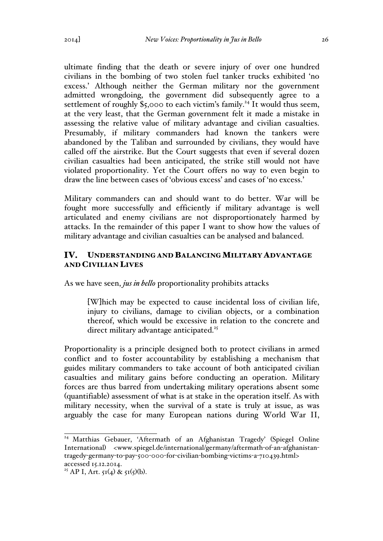ultimate finding that the death or severe injury of over one hundred civilians in the bombing of two stolen fuel tanker trucks exhibited 'no excess.' Although neither the German military nor the government admitted wrongdoing, the government did subsequently agree to a settlement of roughly  $\S$ 5,000 to each victim's family.<sup>24</sup> It would thus seem, at the very least, that the German government felt it made a mistake in assessing the relative value of military advantage and civilian casualties. Presumably, if military commanders had known the tankers were abandoned by the Taliban and surrounded by civilians, they would have called off the airstrike. But the Court suggests that even if several dozen civilian casualties had been anticipated, the strike still would not have violated proportionality. Yet the Court offers no way to even begin to draw the line between cases of 'obvious excess' and cases of 'no excess.'

Military commanders can and should want to do better. War will be fought more successfully and efficiently if military advantage is well articulated and enemy civilians are not disproportionately harmed by attacks. In the remainder of this paper I want to show how the values of military advantage and civilian casualties can be analysed and balanced.

#### UNDERSTANDING AND BALANCING MILITARY ADVANTAGE IV. AND CIVILIAN LIVES

As we have seen, *jus in bello* proportionality prohibits attacks

[W]hich may be expected to cause incidental loss of civilian life, injury to civilians, damage to civilian objects, or a combination thereof, which would be excessive in relation to the concrete and direct military advantage anticipated.<sup>25</sup>

Proportionality is a principle designed both to protect civilians in armed conflict and to foster accountability by establishing a mechanism that guides military commanders to take account of both anticipated civilian casualties and military gains before conducting an operation. Military forces are thus barred from undertaking military operations absent some (quantifiable) assessment of what is at stake in the operation itself. As with military necessity, when the survival of a state is truly at issue, as was arguably the case for many European nations during World War II,

<sup>&</sup>lt;sup>24</sup> Matthias Gebauer, 'Aftermath of an Afghanistan Tragedy' (Spiegel Online International) <www.spiegel.de/international/germany/aftermath-of-an-afghanistantragedy-germany-to-pay-500-000-for-civilian-bombing-victims-a-710439.html> accessed 15.12.2014.

<sup>&</sup>lt;sup>25</sup> AP I, Art.  $5I(4)$  &  $5I(5)(b)$ .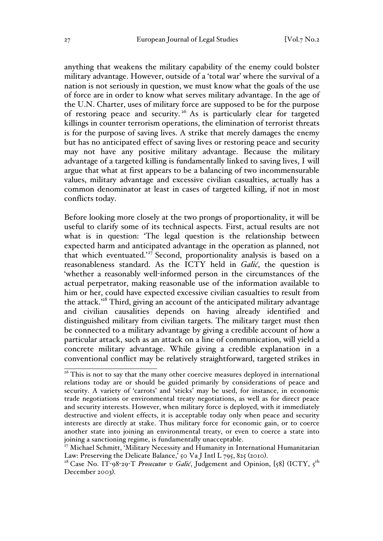anything that weakens the military capability of the enemy could bolster military advantage. However, outside of a 'total war' where the survival of a nation is not seriously in question, we must know what the goals of the use of force are in order to know what serves military advantage. In the age of the U.N. Charter, uses of military force are supposed to be for the purpose of restoring peace and security. <sup>26</sup> As is particularly clear for targeted killings in counter terrorism operations, the elimination of terrorist threats is for the purpose of saving lives. A strike that merely damages the enemy but has no anticipated effect of saving lives or restoring peace and security may not have any positive military advantage. Because the military advantage of a targeted killing is fundamentally linked to saving lives, I will argue that what at first appears to be a balancing of two incommensurable values, military advantage and excessive civilian casualties, actually has a common denominator at least in cases of targeted killing, if not in most conflicts today.

Before looking more closely at the two prongs of proportionality, it will be useful to clarify some of its technical aspects. First, actual results are not what is in question: 'The legal question is the relationship between expected harm and anticipated advantage in the operation as planned, not that which eventuated.'<sup>27</sup> Second, proportionality analysis is based on a reasonableness standard. As the ICTY held in *Galić*, the question is 'whether a reasonably well-informed person in the circumstances of the actual perpetrator, making reasonable use of the information available to him or her, could have expected excessive civilian casualties to result from the attack.'28 Third, giving an account of the anticipated military advantage and civilian causalities depends on having already identified and distinguished military from civilian targets. The military target must then be connected to a military advantage by giving a credible account of how a particular attack, such as an attack on a line of communication, will yield a concrete military advantage. While giving a credible explanation in a conventional conflict may be relatively straightforward, targeted strikes in

<sup>&</sup>lt;sup>26</sup> This is not to say that the many other coercive measures deployed in international relations today are or should be guided primarily by considerations of peace and security. A variety of 'carrots' and 'sticks' may be used, for instance, in economic trade negotiations or environmental treaty negotiations, as well as for direct peace and security interests. However, when military force is deployed, with it immediately destructive and violent effects, it is acceptable today only when peace and security interests are directly at stake. Thus military force for economic gain, or to coerce another state into joining an environmental treaty, or even to coerce a state into joining a sanctioning regime, is fundamentally unacceptable.

<sup>&</sup>lt;sup>27</sup> Michael Schmitt, 'Military Necessity and Humanity in International Humanitarian Law: Preserving the Delicate Balance,' 50 Va J Intl L 795, 825 (2010).

<sup>&</sup>lt;sup>28</sup> Case No. IT-98-29-T *Prosecutor v Galić*, Judgement and Opinion, [58] (ICTY, 5<sup>th</sup> December 2003).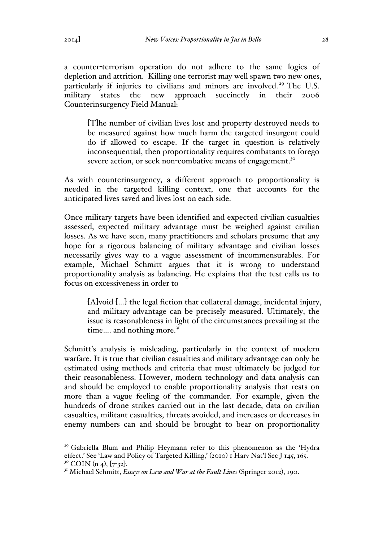a counter-terrorism operation do not adhere to the same logics of depletion and attrition. Killing one terrorist may well spawn two new ones, particularly if injuries to civilians and minors are involved.<sup>29</sup> The U.S. military states the new approach succinctly in their 2006 Counterinsurgency Field Manual:

[T]he number of civilian lives lost and property destroyed needs to be measured against how much harm the targeted insurgent could do if allowed to escape. If the target in question is relatively inconsequential, then proportionality requires combatants to forego severe action, or seek non-combative means of engagement.<sup>30</sup>

As with counterinsurgency, a different approach to proportionality is needed in the targeted killing context, one that accounts for the anticipated lives saved and lives lost on each side.

Once military targets have been identified and expected civilian casualties assessed, expected military advantage must be weighed against civilian losses. As we have seen, many practitioners and scholars presume that any hope for a rigorous balancing of military advantage and civilian losses necessarily gives way to a vague assessment of incommensurables. For example, Michael Schmitt argues that it is wrong to understand proportionality analysis as balancing. He explains that the test calls us to focus on excessiveness in order to

[A]void […] the legal fiction that collateral damage, incidental injury, and military advantage can be precisely measured. Ultimately, the issue is reasonableness in light of the circumstances prevailing at the time.... and nothing more.<sup>31</sup>

Schmitt's analysis is misleading, particularly in the context of modern warfare. It is true that civilian casualties and military advantage can only be estimated using methods and criteria that must ultimately be judged for their reasonableness. However, modern technology and data analysis can and should be employed to enable proportionality analysis that rests on more than a vague feeling of the commander. For example, given the hundreds of drone strikes carried out in the last decade, data on civilian casualties, militant casualties, threats avoided, and increases or decreases in enemy numbers can and should be brought to bear on proportionality

<sup>&</sup>lt;sup>29</sup> Gabriella Blum and Philip Heymann refer to this phenomenon as the 'Hydra effect.' See 'Law and Policy of Targeted Killing,' (2010) 1 Harv Nat'l Sec J 145, 165. <sup>30</sup> COIN (n 4), [7-32].<br><sup>31</sup> Michael Schmitt, *Essays on Law and War at the Fault Lines* (Springer 2012), 190.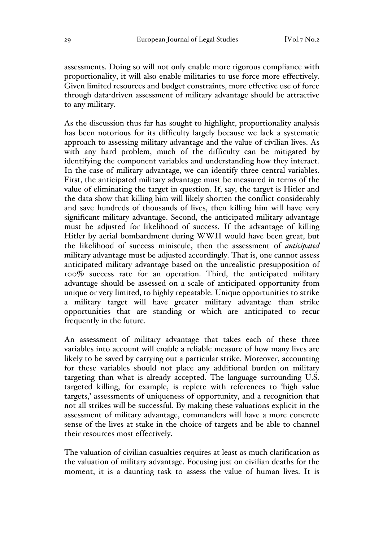assessments. Doing so will not only enable more rigorous compliance with proportionality, it will also enable militaries to use force more effectively. Given limited resources and budget constraints, more effective use of force through data-driven assessment of military advantage should be attractive to any military.

As the discussion thus far has sought to highlight, proportionality analysis has been notorious for its difficulty largely because we lack a systematic approach to assessing military advantage and the value of civilian lives. As with any hard problem, much of the difficulty can be mitigated by identifying the component variables and understanding how they interact. In the case of military advantage, we can identify three central variables. First, the anticipated military advantage must be measured in terms of the value of eliminating the target in question. If, say, the target is Hitler and the data show that killing him will likely shorten the conflict considerably and save hundreds of thousands of lives, then killing him will have very significant military advantage. Second, the anticipated military advantage must be adjusted for likelihood of success. If the advantage of killing Hitler by aerial bombardment during WWII would have been great, but the likelihood of success miniscule, then the assessment of *anticipated* military advantage must be adjusted accordingly. That is, one cannot assess anticipated military advantage based on the unrealistic presupposition of 100% success rate for an operation. Third, the anticipated military advantage should be assessed on a scale of anticipated opportunity from unique or very limited, to highly repeatable. Unique opportunities to strike a military target will have greater military advantage than strike opportunities that are standing or which are anticipated to recur frequently in the future.

An assessment of military advantage that takes each of these three variables into account will enable a reliable measure of how many lives are likely to be saved by carrying out a particular strike. Moreover, accounting for these variables should not place any additional burden on military targeting than what is already accepted. The language surrounding U.S. targeted killing, for example, is replete with references to 'high value targets,' assessments of uniqueness of opportunity, and a recognition that not all strikes will be successful. By making these valuations explicit in the assessment of military advantage, commanders will have a more concrete sense of the lives at stake in the choice of targets and be able to channel their resources most effectively.

The valuation of civilian casualties requires at least as much clarification as the valuation of military advantage. Focusing just on civilian deaths for the moment, it is a daunting task to assess the value of human lives. It is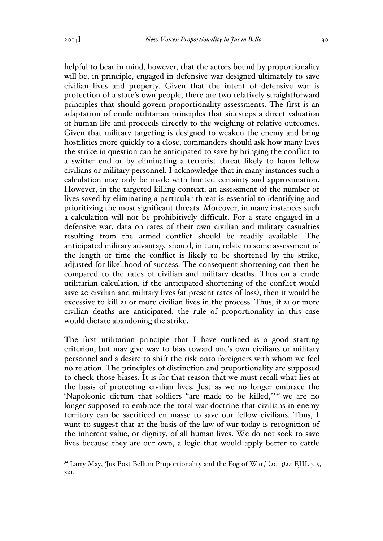helpful to bear in mind, however, that the actors bound by proportionality will be, in principle, engaged in defensive war designed ultimately to save civilian lives and property. Given that the intent of defensive war is protection of a state's own people, there are two relatively straightforward principles that should govern proportionality assessments. The first is an adaptation of crude utilitarian principles that sidesteps a direct valuation of human life and proceeds directly to the weighing of relative outcomes. Given that military targeting is designed to weaken the enemy and bring hostilities more quickly to a close, commanders should ask how many lives the strike in question can be anticipated to save by bringing the conflict to a swifter end or by eliminating a terrorist threat likely to harm fellow civilians or military personnel. I acknowledge that in many instances such a calculation may only be made with limited certainty and approximation. However, in the targeted killing context, an assessment of the number of lives saved by eliminating a particular threat is essential to identifying and prioritizing the most significant threats. Moreover, in many instances such a calculation will not be prohibitively difficult. For a state engaged in a defensive war, data on rates of their own civilian and military casualties resulting from the armed conflict should be readily available. The anticipated military advantage should, in turn, relate to some assessment of the length of time the conflict is likely to be shortened by the strike, adjusted for likelihood of success. The consequent shortening can then be compared to the rates of civilian and military deaths. Thus on a crude utilitarian calculation, if the anticipated shortening of the conflict would save 20 civilian and military lives (at present rates of loss), then it would be excessive to kill 21 or more civilian lives in the process. Thus, if 21 or more civilian deaths are anticipated, the rule of proportionality in this case would dictate abandoning the strike.

The first utilitarian principle that I have outlined is a good starting criterion, but may give way to bias toward one's own civilians or military personnel and a desire to shift the risk onto foreigners with whom we feel no relation. The principles of distinction and proportionality are supposed to check those biases. It is for that reason that we must recall what lies at the basis of protecting civilian lives. Just as we no longer embrace the 'Napoleonic dictum that soldiers "are made to be killed,""<sup>22</sup> we are no longer supposed to embrace the total war doctrine that civilians in enemy territory can be sacrificed en masse to save our fellow civilians. Thus, I want to suggest that at the basis of the law of war today is recognition of the inherent value, or dignity, of all human lives. We do not seek to save lives because they are our own, a logic that would apply better to cattle

<sup>&</sup>lt;sup>32</sup> Larry May, 'Jus Post Bellum Proportionality and the Fog of War,' (2013)24 EJIL 315, 321.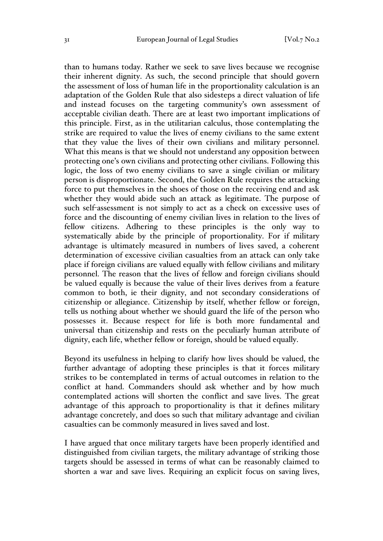than to humans today. Rather we seek to save lives because we recognise their inherent dignity. As such, the second principle that should govern the assessment of loss of human life in the proportionality calculation is an adaptation of the Golden Rule that also sidesteps a direct valuation of life and instead focuses on the targeting community's own assessment of acceptable civilian death. There are at least two important implications of this principle. First, as in the utilitarian calculus, those contemplating the strike are required to value the lives of enemy civilians to the same extent that they value the lives of their own civilians and military personnel. What this means is that we should not understand any opposition between protecting one's own civilians and protecting other civilians. Following this logic, the loss of two enemy civilians to save a single civilian or military person is disproportionate. Second, the Golden Rule requires the attacking force to put themselves in the shoes of those on the receiving end and ask whether they would abide such an attack as legitimate. The purpose of such self-assessment is not simply to act as a check on excessive uses of force and the discounting of enemy civilian lives in relation to the lives of fellow citizens. Adhering to these principles is the only way to systematically abide by the principle of proportionality. For if military advantage is ultimately measured in numbers of lives saved, a coherent determination of excessive civilian casualties from an attack can only take place if foreign civilians are valued equally with fellow civilians and military personnel. The reason that the lives of fellow and foreign civilians should be valued equally is because the value of their lives derives from a feature common to both, ie their dignity, and not secondary considerations of citizenship or allegiance. Citizenship by itself, whether fellow or foreign, tells us nothing about whether we should guard the life of the person who possesses it. Because respect for life is both more fundamental and universal than citizenship and rests on the peculiarly human attribute of dignity, each life, whether fellow or foreign, should be valued equally.

Beyond its usefulness in helping to clarify how lives should be valued, the further advantage of adopting these principles is that it forces military strikes to be contemplated in terms of actual outcomes in relation to the conflict at hand. Commanders should ask whether and by how much contemplated actions will shorten the conflict and save lives. The great advantage of this approach to proportionality is that it defines military advantage concretely, and does so such that military advantage and civilian casualties can be commonly measured in lives saved and lost.

I have argued that once military targets have been properly identified and distinguished from civilian targets, the military advantage of striking those targets should be assessed in terms of what can be reasonably claimed to shorten a war and save lives. Requiring an explicit focus on saving lives,